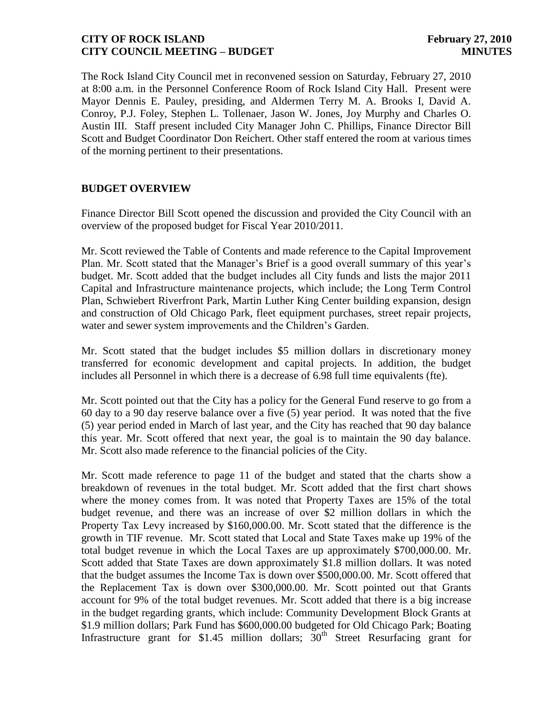The Rock Island City Council met in reconvened session on Saturday, February 27, 2010 at 8:00 a.m. in the Personnel Conference Room of Rock Island City Hall. Present were Mayor Dennis E. Pauley, presiding, and Aldermen Terry M. A. Brooks I, David A. Conroy, P.J. Foley, Stephen L. Tollenaer, Jason W. Jones, Joy Murphy and Charles O. Austin III. Staff present included City Manager John C. Phillips, Finance Director Bill Scott and Budget Coordinator Don Reichert. Other staff entered the room at various times of the morning pertinent to their presentations.

# **BUDGET OVERVIEW**

Finance Director Bill Scott opened the discussion and provided the City Council with an overview of the proposed budget for Fiscal Year 2010/2011.

Mr. Scott reviewed the Table of Contents and made reference to the Capital Improvement Plan. Mr. Scott stated that the Manager's Brief is a good overall summary of this year's budget. Mr. Scott added that the budget includes all City funds and lists the major 2011 Capital and Infrastructure maintenance projects, which include; the Long Term Control Plan, Schwiebert Riverfront Park, Martin Luther King Center building expansion, design and construction of Old Chicago Park, fleet equipment purchases, street repair projects, water and sewer system improvements and the Children's Garden.

Mr. Scott stated that the budget includes \$5 million dollars in discretionary money transferred for economic development and capital projects. In addition, the budget includes all Personnel in which there is a decrease of 6.98 full time equivalents (fte).

Mr. Scott pointed out that the City has a policy for the General Fund reserve to go from a 60 day to a 90 day reserve balance over a five (5) year period. It was noted that the five (5) year period ended in March of last year, and the City has reached that 90 day balance this year. Mr. Scott offered that next year, the goal is to maintain the 90 day balance. Mr. Scott also made reference to the financial policies of the City.

Mr. Scott made reference to page 11 of the budget and stated that the charts show a breakdown of revenues in the total budget. Mr. Scott added that the first chart shows where the money comes from. It was noted that Property Taxes are 15% of the total budget revenue, and there was an increase of over \$2 million dollars in which the Property Tax Levy increased by \$160,000.00. Mr. Scott stated that the difference is the growth in TIF revenue. Mr. Scott stated that Local and State Taxes make up 19% of the total budget revenue in which the Local Taxes are up approximately \$700,000.00. Mr. Scott added that State Taxes are down approximately \$1.8 million dollars. It was noted that the budget assumes the Income Tax is down over \$500,000.00. Mr. Scott offered that the Replacement Tax is down over \$300,000.00. Mr. Scott pointed out that Grants account for 9% of the total budget revenues. Mr. Scott added that there is a big increase in the budget regarding grants, which include: Community Development Block Grants at \$1.9 million dollars; Park Fund has \$600,000.00 budgeted for Old Chicago Park; Boating Infrastructure grant for \$1.45 million dollars;  $30<sup>th</sup>$  Street Resurfacing grant for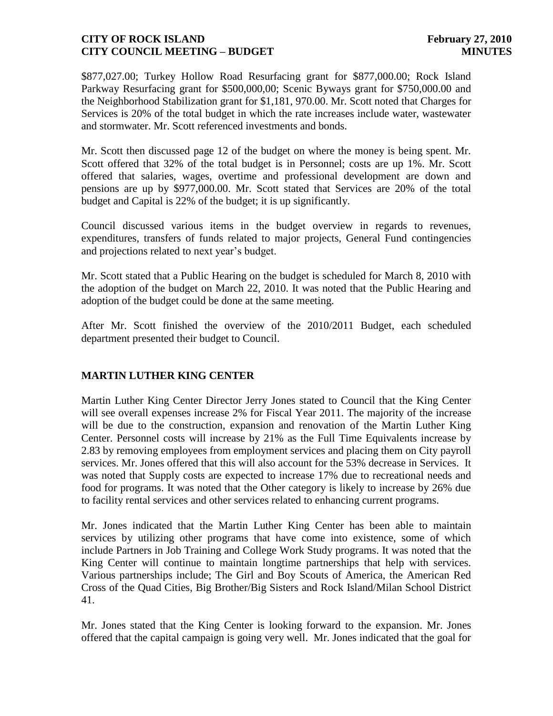\$877,027.00; Turkey Hollow Road Resurfacing grant for \$877,000.00; Rock Island Parkway Resurfacing grant for \$500,000,00; Scenic Byways grant for \$750,000.00 and the Neighborhood Stabilization grant for \$1,181, 970.00. Mr. Scott noted that Charges for Services is 20% of the total budget in which the rate increases include water, wastewater and stormwater. Mr. Scott referenced investments and bonds.

Mr. Scott then discussed page 12 of the budget on where the money is being spent. Mr. Scott offered that 32% of the total budget is in Personnel; costs are up 1%. Mr. Scott offered that salaries, wages, overtime and professional development are down and pensions are up by \$977,000.00. Mr. Scott stated that Services are 20% of the total budget and Capital is 22% of the budget; it is up significantly.

Council discussed various items in the budget overview in regards to revenues, expenditures, transfers of funds related to major projects, General Fund contingencies and projections related to next year's budget.

Mr. Scott stated that a Public Hearing on the budget is scheduled for March 8, 2010 with the adoption of the budget on March 22, 2010. It was noted that the Public Hearing and adoption of the budget could be done at the same meeting.

After Mr. Scott finished the overview of the 2010/2011 Budget, each scheduled department presented their budget to Council.

# **MARTIN LUTHER KING CENTER**

Martin Luther King Center Director Jerry Jones stated to Council that the King Center will see overall expenses increase 2% for Fiscal Year 2011. The majority of the increase will be due to the construction, expansion and renovation of the Martin Luther King Center. Personnel costs will increase by 21% as the Full Time Equivalents increase by 2.83 by removing employees from employment services and placing them on City payroll services. Mr. Jones offered that this will also account for the 53% decrease in Services. It was noted that Supply costs are expected to increase 17% due to recreational needs and food for programs. It was noted that the Other category is likely to increase by 26% due to facility rental services and other services related to enhancing current programs.

Mr. Jones indicated that the Martin Luther King Center has been able to maintain services by utilizing other programs that have come into existence, some of which include Partners in Job Training and College Work Study programs. It was noted that the King Center will continue to maintain longtime partnerships that help with services. Various partnerships include; The Girl and Boy Scouts of America, the American Red Cross of the Quad Cities, Big Brother/Big Sisters and Rock Island/Milan School District 41.

Mr. Jones stated that the King Center is looking forward to the expansion. Mr. Jones offered that the capital campaign is going very well. Mr. Jones indicated that the goal for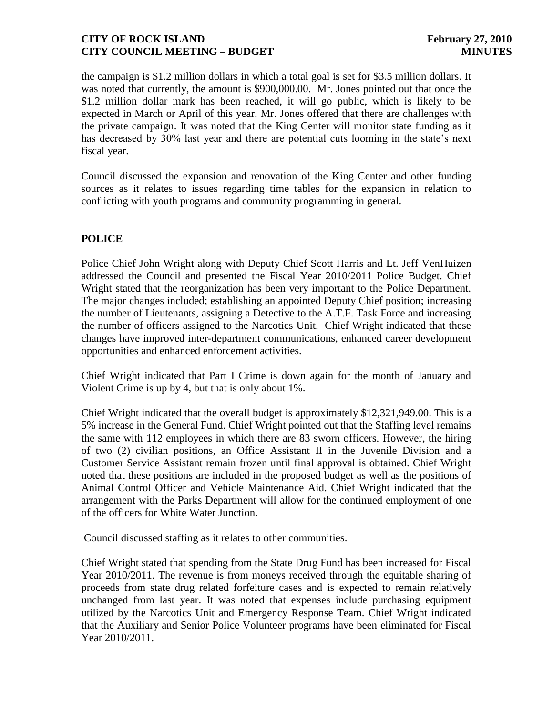the campaign is \$1.2 million dollars in which a total goal is set for \$3.5 million dollars. It was noted that currently, the amount is \$900,000.00. Mr. Jones pointed out that once the \$1.2 million dollar mark has been reached, it will go public, which is likely to be expected in March or April of this year. Mr. Jones offered that there are challenges with the private campaign. It was noted that the King Center will monitor state funding as it has decreased by 30% last year and there are potential cuts looming in the state's next fiscal year.

Council discussed the expansion and renovation of the King Center and other funding sources as it relates to issues regarding time tables for the expansion in relation to conflicting with youth programs and community programming in general.

# **POLICE**

Police Chief John Wright along with Deputy Chief Scott Harris and Lt. Jeff VenHuizen addressed the Council and presented the Fiscal Year 2010/2011 Police Budget. Chief Wright stated that the reorganization has been very important to the Police Department. The major changes included; establishing an appointed Deputy Chief position; increasing the number of Lieutenants, assigning a Detective to the A.T.F. Task Force and increasing the number of officers assigned to the Narcotics Unit. Chief Wright indicated that these changes have improved inter-department communications, enhanced career development opportunities and enhanced enforcement activities.

Chief Wright indicated that Part I Crime is down again for the month of January and Violent Crime is up by 4, but that is only about 1%.

Chief Wright indicated that the overall budget is approximately \$12,321,949.00. This is a 5% increase in the General Fund. Chief Wright pointed out that the Staffing level remains the same with 112 employees in which there are 83 sworn officers. However, the hiring of two (2) civilian positions, an Office Assistant II in the Juvenile Division and a Customer Service Assistant remain frozen until final approval is obtained. Chief Wright noted that these positions are included in the proposed budget as well as the positions of Animal Control Officer and Vehicle Maintenance Aid. Chief Wright indicated that the arrangement with the Parks Department will allow for the continued employment of one of the officers for White Water Junction.

Council discussed staffing as it relates to other communities.

Chief Wright stated that spending from the State Drug Fund has been increased for Fiscal Year 2010/2011. The revenue is from moneys received through the equitable sharing of proceeds from state drug related forfeiture cases and is expected to remain relatively unchanged from last year. It was noted that expenses include purchasing equipment utilized by the Narcotics Unit and Emergency Response Team. Chief Wright indicated that the Auxiliary and Senior Police Volunteer programs have been eliminated for Fiscal Year 2010/2011.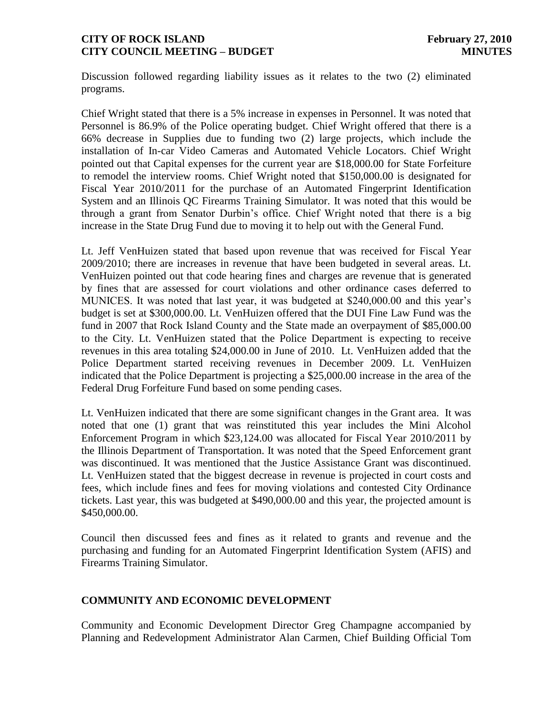Discussion followed regarding liability issues as it relates to the two (2) eliminated programs.

Chief Wright stated that there is a 5% increase in expenses in Personnel. It was noted that Personnel is 86.9% of the Police operating budget. Chief Wright offered that there is a 66% decrease in Supplies due to funding two (2) large projects, which include the installation of In-car Video Cameras and Automated Vehicle Locators. Chief Wright pointed out that Capital expenses for the current year are \$18,000.00 for State Forfeiture to remodel the interview rooms. Chief Wright noted that \$150,000.00 is designated for Fiscal Year 2010/2011 for the purchase of an Automated Fingerprint Identification System and an Illinois QC Firearms Training Simulator. It was noted that this would be through a grant from Senator Durbin's office. Chief Wright noted that there is a big increase in the State Drug Fund due to moving it to help out with the General Fund.

Lt. Jeff VenHuizen stated that based upon revenue that was received for Fiscal Year 2009/2010; there are increases in revenue that have been budgeted in several areas. Lt. VenHuizen pointed out that code hearing fines and charges are revenue that is generated by fines that are assessed for court violations and other ordinance cases deferred to MUNICES. It was noted that last year, it was budgeted at \$240,000.00 and this year's budget is set at \$300,000.00. Lt. VenHuizen offered that the DUI Fine Law Fund was the fund in 2007 that Rock Island County and the State made an overpayment of \$85,000.00 to the City. Lt. VenHuizen stated that the Police Department is expecting to receive revenues in this area totaling \$24,000.00 in June of 2010. Lt. VenHuizen added that the Police Department started receiving revenues in December 2009. Lt. VenHuizen indicated that the Police Department is projecting a \$25,000.00 increase in the area of the Federal Drug Forfeiture Fund based on some pending cases.

Lt. VenHuizen indicated that there are some significant changes in the Grant area. It was noted that one (1) grant that was reinstituted this year includes the Mini Alcohol Enforcement Program in which \$23,124.00 was allocated for Fiscal Year 2010/2011 by the Illinois Department of Transportation. It was noted that the Speed Enforcement grant was discontinued. It was mentioned that the Justice Assistance Grant was discontinued. Lt. VenHuizen stated that the biggest decrease in revenue is projected in court costs and fees, which include fines and fees for moving violations and contested City Ordinance tickets. Last year, this was budgeted at \$490,000.00 and this year, the projected amount is \$450,000.00.

Council then discussed fees and fines as it related to grants and revenue and the purchasing and funding for an Automated Fingerprint Identification System (AFIS) and Firearms Training Simulator.

# **COMMUNITY AND ECONOMIC DEVELOPMENT**

Community and Economic Development Director Greg Champagne accompanied by Planning and Redevelopment Administrator Alan Carmen, Chief Building Official Tom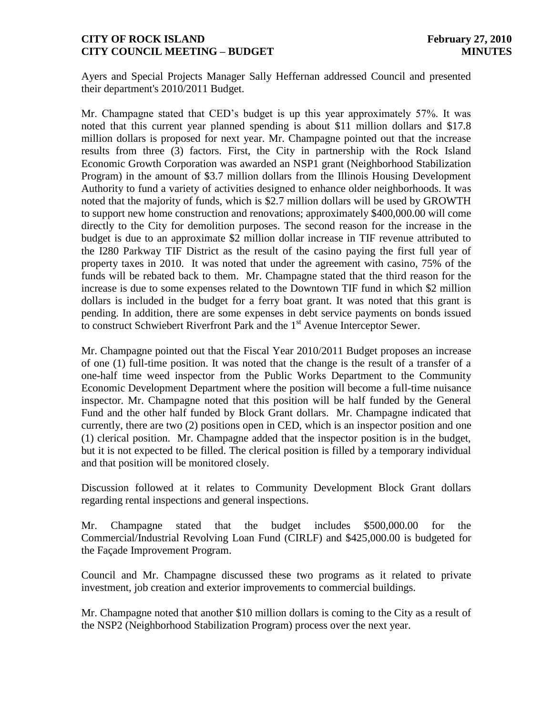Ayers and Special Projects Manager Sally Heffernan addressed Council and presented their department's 2010/2011 Budget.

Mr. Champagne stated that CED's budget is up this year approximately 57%. It was noted that this current year planned spending is about \$11 million dollars and \$17.8 million dollars is proposed for next year. Mr. Champagne pointed out that the increase results from three (3) factors. First, the City in partnership with the Rock Island Economic Growth Corporation was awarded an NSP1 grant (Neighborhood Stabilization Program) in the amount of \$3.7 million dollars from the Illinois Housing Development Authority to fund a variety of activities designed to enhance older neighborhoods. It was noted that the majority of funds, which is \$2.7 million dollars will be used by GROWTH to support new home construction and renovations; approximately \$400,000.00 will come directly to the City for demolition purposes. The second reason for the increase in the budget is due to an approximate \$2 million dollar increase in TIF revenue attributed to the I280 Parkway TIF District as the result of the casino paying the first full year of property taxes in 2010. It was noted that under the agreement with casino, 75% of the funds will be rebated back to them. Mr. Champagne stated that the third reason for the increase is due to some expenses related to the Downtown TIF fund in which \$2 million dollars is included in the budget for a ferry boat grant. It was noted that this grant is pending. In addition, there are some expenses in debt service payments on bonds issued to construct Schwiebert Riverfront Park and the 1<sup>st</sup> Avenue Interceptor Sewer.

Mr. Champagne pointed out that the Fiscal Year 2010/2011 Budget proposes an increase of one (1) full-time position. It was noted that the change is the result of a transfer of a one-half time weed inspector from the Public Works Department to the Community Economic Development Department where the position will become a full-time nuisance inspector. Mr. Champagne noted that this position will be half funded by the General Fund and the other half funded by Block Grant dollars. Mr. Champagne indicated that currently, there are two (2) positions open in CED, which is an inspector position and one (1) clerical position. Mr. Champagne added that the inspector position is in the budget, but it is not expected to be filled. The clerical position is filled by a temporary individual and that position will be monitored closely.

Discussion followed at it relates to Community Development Block Grant dollars regarding rental inspections and general inspections.

Mr. Champagne stated that the budget includes \$500,000.00 for the Commercial/Industrial Revolving Loan Fund (CIRLF) and \$425,000.00 is budgeted for the Façade Improvement Program.

Council and Mr. Champagne discussed these two programs as it related to private investment, job creation and exterior improvements to commercial buildings.

Mr. Champagne noted that another \$10 million dollars is coming to the City as a result of the NSP2 (Neighborhood Stabilization Program) process over the next year.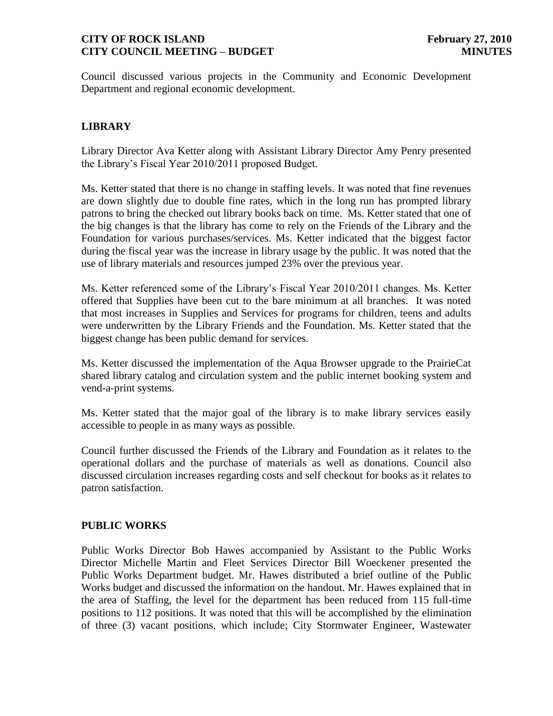Council discussed various projects in the Community and Economic Development Department and regional economic development.

# **LIBRARY**

Library Director Ava Ketter along with Assistant Library Director Amy Penry presented the Library's Fiscal Year 2010/2011 proposed Budget.

Ms. Ketter stated that there is no change in staffing levels. It was noted that fine revenues are down slightly due to double fine rates, which in the long run has prompted library patrons to bring the checked out library books back on time. Ms. Ketter stated that one of the big changes is that the library has come to rely on the Friends of the Library and the Foundation for various purchases/services. Ms. Ketter indicated that the biggest factor during the fiscal year was the increase in library usage by the public. It was noted that the use of library materials and resources jumped 23% over the previous year.

Ms. Ketter referenced some of the Library's Fiscal Year 2010/2011 changes. Ms. Ketter offered that Supplies have been cut to the bare minimum at all branches. It was noted that most increases in Supplies and Services for programs for children, teens and adults were underwritten by the Library Friends and the Foundation. Ms. Ketter stated that the biggest change has been public demand for services.

Ms. Ketter discussed the implementation of the Aqua Browser upgrade to the PrairieCat shared library catalog and circulation system and the public internet booking system and vend-a-print systems.

Ms. Ketter stated that the major goal of the library is to make library services easily accessible to people in as many ways as possible.

Council further discussed the Friends of the Library and Foundation as it relates to the operational dollars and the purchase of materials as well as donations. Council also discussed circulation increases regarding costs and self checkout for books as it relates to patron satisfaction.

#### **PUBLIC WORKS**

Public Works Director Bob Hawes accompanied by Assistant to the Public Works Director Michelle Martin and Fleet Services Director Bill Woeckener presented the Public Works Department budget. Mr. Hawes distributed a brief outline of the Public Works budget and discussed the information on the handout. Mr. Hawes explained that in the area of Staffing, the level for the department has been reduced from 115 full-time positions to 112 positions. It was noted that this will be accomplished by the elimination of three (3) vacant positions, which include; City Stormwater Engineer, Wastewater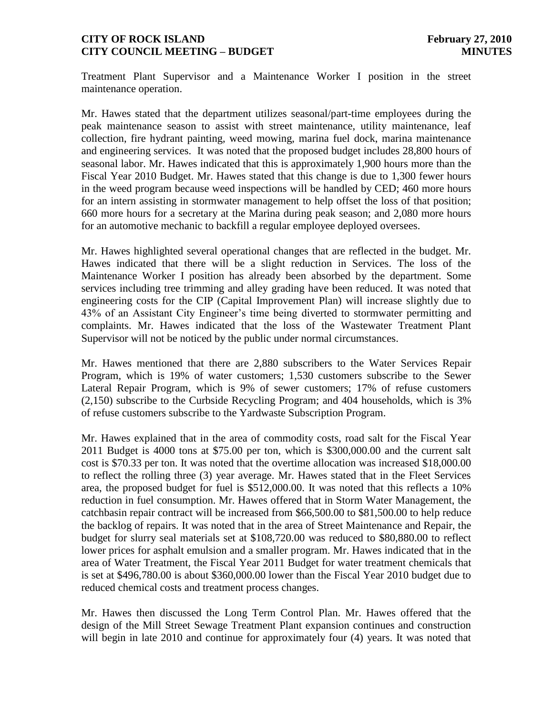Treatment Plant Supervisor and a Maintenance Worker I position in the street maintenance operation.

Mr. Hawes stated that the department utilizes seasonal/part-time employees during the peak maintenance season to assist with street maintenance, utility maintenance, leaf collection, fire hydrant painting, weed mowing, marina fuel dock, marina maintenance and engineering services. It was noted that the proposed budget includes 28,800 hours of seasonal labor. Mr. Hawes indicated that this is approximately 1,900 hours more than the Fiscal Year 2010 Budget. Mr. Hawes stated that this change is due to 1,300 fewer hours in the weed program because weed inspections will be handled by CED; 460 more hours for an intern assisting in stormwater management to help offset the loss of that position; 660 more hours for a secretary at the Marina during peak season; and 2,080 more hours for an automotive mechanic to backfill a regular employee deployed oversees.

Mr. Hawes highlighted several operational changes that are reflected in the budget. Mr. Hawes indicated that there will be a slight reduction in Services. The loss of the Maintenance Worker I position has already been absorbed by the department. Some services including tree trimming and alley grading have been reduced. It was noted that engineering costs for the CIP (Capital Improvement Plan) will increase slightly due to 43% of an Assistant City Engineer's time being diverted to stormwater permitting and complaints. Mr. Hawes indicated that the loss of the Wastewater Treatment Plant Supervisor will not be noticed by the public under normal circumstances.

Mr. Hawes mentioned that there are 2,880 subscribers to the Water Services Repair Program, which is 19% of water customers; 1,530 customers subscribe to the Sewer Lateral Repair Program, which is 9% of sewer customers; 17% of refuse customers (2,150) subscribe to the Curbside Recycling Program; and 404 households, which is 3% of refuse customers subscribe to the Yardwaste Subscription Program.

Mr. Hawes explained that in the area of commodity costs, road salt for the Fiscal Year 2011 Budget is 4000 tons at \$75.00 per ton, which is \$300,000.00 and the current salt cost is \$70.33 per ton. It was noted that the overtime allocation was increased \$18,000.00 to reflect the rolling three (3) year average. Mr. Hawes stated that in the Fleet Services area, the proposed budget for fuel is \$512,000.00. It was noted that this reflects a 10% reduction in fuel consumption. Mr. Hawes offered that in Storm Water Management, the catchbasin repair contract will be increased from \$66,500.00 to \$81,500.00 to help reduce the backlog of repairs. It was noted that in the area of Street Maintenance and Repair, the budget for slurry seal materials set at \$108,720.00 was reduced to \$80,880.00 to reflect lower prices for asphalt emulsion and a smaller program. Mr. Hawes indicated that in the area of Water Treatment, the Fiscal Year 2011 Budget for water treatment chemicals that is set at \$496,780.00 is about \$360,000.00 lower than the Fiscal Year 2010 budget due to reduced chemical costs and treatment process changes.

Mr. Hawes then discussed the Long Term Control Plan. Mr. Hawes offered that the design of the Mill Street Sewage Treatment Plant expansion continues and construction will begin in late 2010 and continue for approximately four  $(4)$  years. It was noted that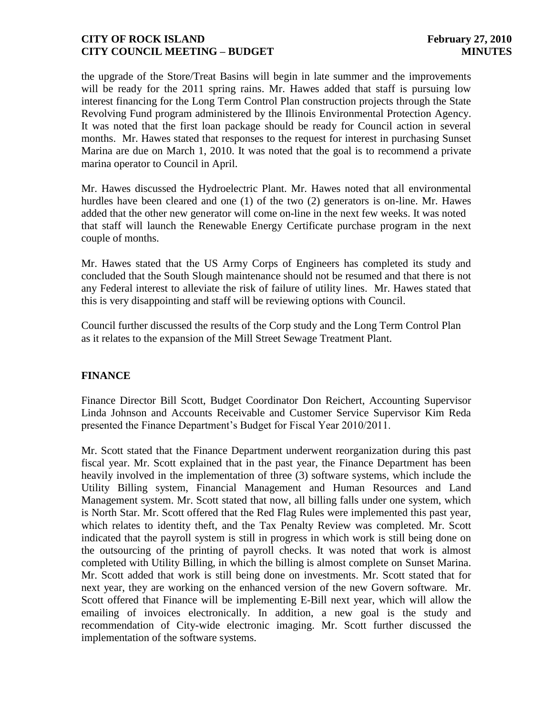the upgrade of the Store/Treat Basins will begin in late summer and the improvements will be ready for the 2011 spring rains. Mr. Hawes added that staff is pursuing low interest financing for the Long Term Control Plan construction projects through the State Revolving Fund program administered by the Illinois Environmental Protection Agency. It was noted that the first loan package should be ready for Council action in several months. Mr. Hawes stated that responses to the request for interest in purchasing Sunset Marina are due on March 1, 2010. It was noted that the goal is to recommend a private marina operator to Council in April.

Mr. Hawes discussed the Hydroelectric Plant. Mr. Hawes noted that all environmental hurdles have been cleared and one (1) of the two (2) generators is on-line. Mr. Hawes added that the other new generator will come on-line in the next few weeks. It was noted that staff will launch the Renewable Energy Certificate purchase program in the next couple of months.

Mr. Hawes stated that the US Army Corps of Engineers has completed its study and concluded that the South Slough maintenance should not be resumed and that there is not any Federal interest to alleviate the risk of failure of utility lines. Mr. Hawes stated that this is very disappointing and staff will be reviewing options with Council.

Council further discussed the results of the Corp study and the Long Term Control Plan as it relates to the expansion of the Mill Street Sewage Treatment Plant.

# **FINANCE**

Finance Director Bill Scott, Budget Coordinator Don Reichert, Accounting Supervisor Linda Johnson and Accounts Receivable and Customer Service Supervisor Kim Reda presented the Finance Department's Budget for Fiscal Year 2010/2011.

Mr. Scott stated that the Finance Department underwent reorganization during this past fiscal year. Mr. Scott explained that in the past year, the Finance Department has been heavily involved in the implementation of three (3) software systems, which include the Utility Billing system, Financial Management and Human Resources and Land Management system. Mr. Scott stated that now, all billing falls under one system, which is North Star. Mr. Scott offered that the Red Flag Rules were implemented this past year, which relates to identity theft, and the Tax Penalty Review was completed. Mr. Scott indicated that the payroll system is still in progress in which work is still being done on the outsourcing of the printing of payroll checks. It was noted that work is almost completed with Utility Billing, in which the billing is almost complete on Sunset Marina. Mr. Scott added that work is still being done on investments. Mr. Scott stated that for next year, they are working on the enhanced version of the new Govern software. Mr. Scott offered that Finance will be implementing E-Bill next year, which will allow the emailing of invoices electronically. In addition, a new goal is the study and recommendation of City-wide electronic imaging. Mr. Scott further discussed the implementation of the software systems.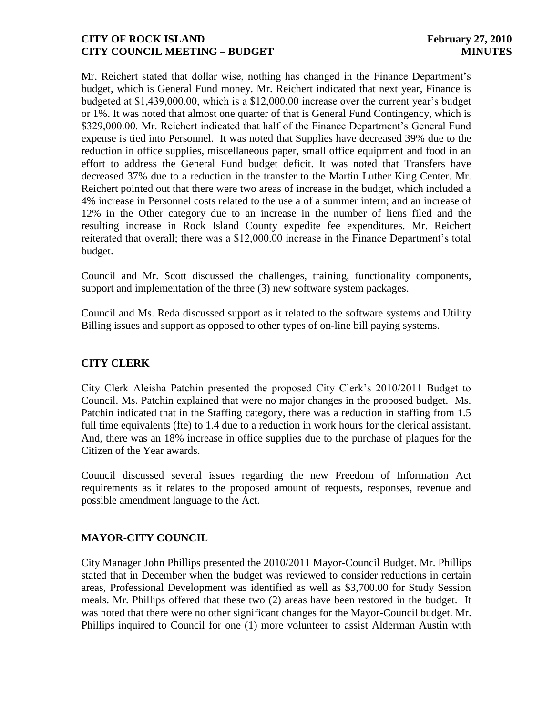Mr. Reichert stated that dollar wise, nothing has changed in the Finance Department's budget, which is General Fund money. Mr. Reichert indicated that next year, Finance is budgeted at \$1,439,000.00, which is a \$12,000.00 increase over the current year's budget or 1%. It was noted that almost one quarter of that is General Fund Contingency, which is \$329,000.00. Mr. Reichert indicated that half of the Finance Department's General Fund expense is tied into Personnel. It was noted that Supplies have decreased 39% due to the reduction in office supplies, miscellaneous paper, small office equipment and food in an effort to address the General Fund budget deficit. It was noted that Transfers have decreased 37% due to a reduction in the transfer to the Martin Luther King Center. Mr. Reichert pointed out that there were two areas of increase in the budget, which included a 4% increase in Personnel costs related to the use a of a summer intern; and an increase of 12% in the Other category due to an increase in the number of liens filed and the resulting increase in Rock Island County expedite fee expenditures. Mr. Reichert reiterated that overall; there was a \$12,000.00 increase in the Finance Department's total budget.

Council and Mr. Scott discussed the challenges, training, functionality components, support and implementation of the three (3) new software system packages.

Council and Ms. Reda discussed support as it related to the software systems and Utility Billing issues and support as opposed to other types of on-line bill paying systems.

# **CITY CLERK**

City Clerk Aleisha Patchin presented the proposed City Clerk's 2010/2011 Budget to Council. Ms. Patchin explained that were no major changes in the proposed budget. Ms. Patchin indicated that in the Staffing category, there was a reduction in staffing from 1.5 full time equivalents (fte) to 1.4 due to a reduction in work hours for the clerical assistant. And, there was an 18% increase in office supplies due to the purchase of plaques for the Citizen of the Year awards.

Council discussed several issues regarding the new Freedom of Information Act requirements as it relates to the proposed amount of requests, responses, revenue and possible amendment language to the Act.

# **MAYOR-CITY COUNCIL**

City Manager John Phillips presented the 2010/2011 Mayor-Council Budget. Mr. Phillips stated that in December when the budget was reviewed to consider reductions in certain areas, Professional Development was identified as well as \$3,700.00 for Study Session meals. Mr. Phillips offered that these two (2) areas have been restored in the budget. It was noted that there were no other significant changes for the Mayor-Council budget. Mr. Phillips inquired to Council for one (1) more volunteer to assist Alderman Austin with